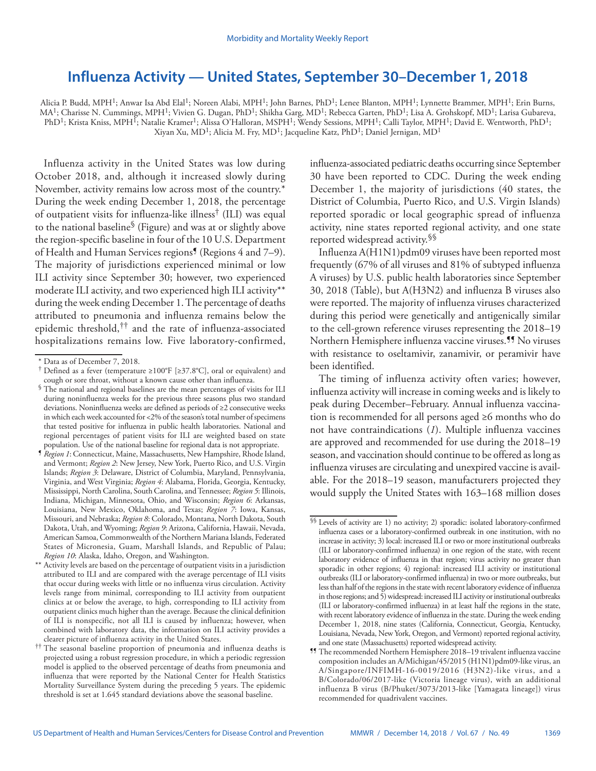## **Influenza Activity — United States, September 30–December 1, 2018**

Alicia P. Budd, MPH<sup>1</sup>; Anwar Isa Abd Elal<sup>1</sup>; Noreen Alabi, MPH<sup>1</sup>; John Barnes, PhD<sup>1</sup>; Lenee Blanton, MPH<sup>1</sup>; Lynnette Brammer, MPH<sup>1</sup>; Erin Burns, MA<sup>1</sup>; Charisse N. Cummings, MPH<sup>1</sup>; Vivien G. Dugan, PhD<sup>1</sup>; Shikha Garg, MD<sup>1</sup>; Rebecca Garten, PhD<sup>1</sup>; Lisa A. Grohskopf, MD<sup>1</sup>; Larisa Gubareva, PhD<sup>1</sup>; Krista Kniss, MPH<sup>1</sup>; Natalie Kramer<sup>1</sup>; Alissa O'Halloran, MSPH<sup>1</sup>; Wendy Sessions, MPH<sup>1</sup>; Calli Taylor, MPH<sup>1</sup>; David E. Wentworth, PhD<sup>1</sup>; Xiyan Xu, MD1; Alicia M. Fry, MD1; Jacqueline Katz, PhD1; Daniel Jernigan, MD1

Influenza activity in the United States was low during October 2018, and, although it increased slowly during November, activity remains low across most of the country.\* During the week ending December 1, 2018, the percentage of outpatient visits for influenza-like illness† (ILI) was equal to the national baseline§ (Figure) and was at or slightly above the region-specific baseline in four of the 10 U.S. Department of Health and Human Services regions<sup>1</sup> (Regions 4 and 7–9). The majority of jurisdictions experienced minimal or low ILI activity since September 30; however, two experienced moderate ILI activity, and two experienced high ILI activity\*\* during the week ending December 1. The percentage of deaths attributed to pneumonia and influenza remains below the epidemic threshold,†† and the rate of influenza-associated hospitalizations remains low. Five laboratory-confirmed,

influenza-associated pediatric deaths occurring since September 30 have been reported to CDC. During the week ending December 1, the majority of jurisdictions (40 states, the District of Columbia, Puerto Rico, and U.S. Virgin Islands) reported sporadic or local geographic spread of influenza activity, nine states reported regional activity, and one state reported widespread activity.§§

Influenza A(H1N1)pdm09 viruses have been reported most frequently (67% of all viruses and 81% of subtyped influenza A viruses) by U.S. public health laboratories since September 30, 2018 (Table), but A(H3N2) and influenza B viruses also were reported. The majority of influenza viruses characterized during this period were genetically and antigenically similar to the cell-grown reference viruses representing the 2018–19 Northern Hemisphere influenza vaccine viruses.¶¶ No viruses with resistance to oseltamivir, zanamivir, or peramivir have been identified.

The timing of influenza activity often varies; however, influenza activity will increase in coming weeks and is likely to peak during December–February. Annual influenza vaccination is recommended for all persons aged ≥6 months who do not have contraindications (*1*). Multiple influenza vaccines are approved and recommended for use during the 2018–19 season, and vaccination should continue to be offered as long as influenza viruses are circulating and unexpired vaccine is available. For the 2018–19 season, manufacturers projected they would supply the United States with 163–168 million doses

<sup>\*</sup> Data as of December 7, 2018.

<sup>†</sup> Defined as a fever (temperature ≥100°F [≥37.8°C], oral or equivalent) and cough or sore throat, without a known cause other than influenza.

<sup>§</sup> The national and regional baselines are the mean percentages of visits for ILI during noninfluenza weeks for the previous three seasons plus two standard deviations. Noninfluenza weeks are defined as periods of ≥2 consecutive weeks in which each week accounted for <2% of the season's total number of specimens that tested positive for influenza in public health laboratories. National and regional percentages of patient visits for ILI are weighted based on state population. Use of the national baseline for regional data is not appropriate.

<sup>¶</sup> *Region 1*: Connecticut, Maine, Massachusetts, New Hampshire, Rhode Island, and Vermont; *Region 2*: New Jersey, New York, Puerto Rico, and U.S. Virgin Islands; *Region 3*: Delaware, District of Columbia, Maryland, Pennsylvania, Virginia, and West Virginia; *Region 4*: Alabama, Florida, Georgia, Kentucky, Mississippi, North Carolina, South Carolina, and Tennessee; *Region 5*: Illinois, Indiana, Michigan, Minnesota, Ohio, and Wisconsin; *Region 6*: Arkansas, Louisiana, New Mexico, Oklahoma, and Texas; *Region 7*: Iowa, Kansas, Missouri, and Nebraska; *Region 8*: Colorado, Montana, North Dakota, South Dakota, Utah, and Wyoming; *Region 9*: Arizona, California, Hawaii, Nevada, American Samoa, Commonwealth of the Northern Mariana Islands, Federated States of Micronesia, Guam, Marshall Islands, and Republic of Palau; *Region 10*: Alaska, Idaho, Oregon, and Washington.

<sup>\*\*</sup> Activity levels are based on the percentage of outpatient visits in a jurisdiction attributed to ILI and are compared with the average percentage of ILI visits that occur during weeks with little or no influenza virus circulation. Activity levels range from minimal, corresponding to ILI activity from outpatient clinics at or below the average, to high, corresponding to ILI activity from outpatient clinics much higher than the average. Because the clinical definition of ILI is nonspecific, not all ILI is caused by influenza; however, when combined with laboratory data, the information on ILI activity provides a clearer picture of influenza activity in the United States.

<sup>††</sup> The seasonal baseline proportion of pneumonia and influenza deaths is projected using a robust regression procedure, in which a periodic regression model is applied to the observed percentage of deaths from pneumonia and influenza that were reported by the National Center for Health Statistics Mortality Surveillance System during the preceding 5 years. The epidemic threshold is set at 1.645 standard deviations above the seasonal baseline.

<sup>§§</sup> Levels of activity are 1) no activity; 2) sporadic: isolated laboratory-confirmed influenza cases or a laboratory-confirmed outbreak in one institution, with no increase in activity; 3) local: increased ILI or two or more institutional outbreaks (ILI or laboratory-confirmed influenza) in one region of the state, with recent laboratory evidence of influenza in that region; virus activity no greater than sporadic in other regions; 4) regional: increased ILI activity or institutional outbreaks (ILI or laboratory-confirmed influenza) in two or more outbreaks, but less than half of the regions in the state with recent laboratory evidence of influenza in those regions; and 5) widespread: increased ILI activity or institutional outbreaks (ILI or laboratory-confirmed influenza) in at least half the regions in the state, with recent laboratory evidence of influenza in the state. During the week ending December 1, 2018, nine states (California, Connecticut, Georgia, Kentucky, Louisiana, Nevada, New York, Oregon, and Vermont) reported regional activity, and one state (Massachusetts) reported widespread activity.

<sup>¶¶</sup> The recommended Northern Hemisphere 2018–19 trivalent influenza vaccine composition includes an A/Michigan/45/2015 (H1N1)pdm09-like virus, an A/Singapore/INFIMH-16-0019/2016 (H3N2)-like virus, and a B/Colorado/06/2017-like (Victoria lineage virus), with an additional influenza B virus (B/Phuket/3073/2013-like [Yamagata lineage]) virus recommended for quadrivalent vaccines.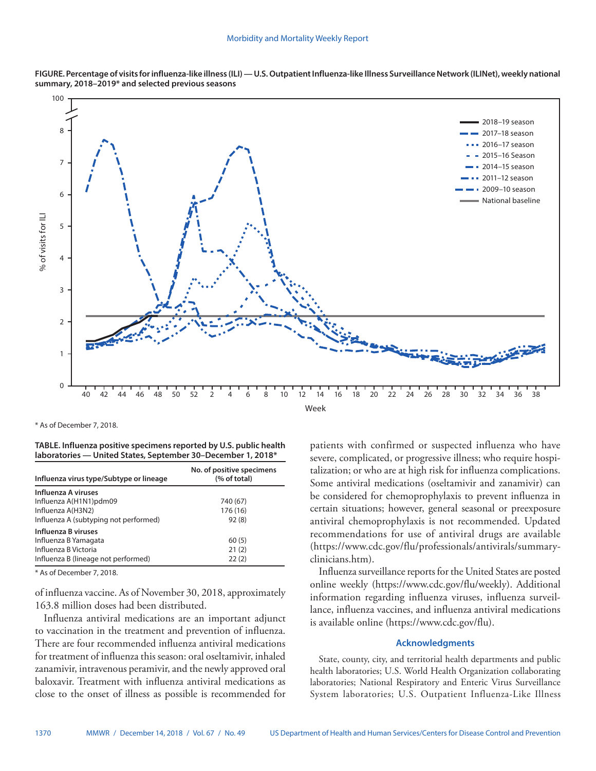

**FIGURE. Percentage of visits for influenza-like illness (ILI) — U.S. Outpatient Influenza-like Illness Surveillance Network (ILINet), weekly national summary, 2018–2019\* and selected previous seasons**

\* As of December 7, 2018.

**TABLE. Influenza positive specimens reported by U.S. public health laboratories — United States, September 30–December 1, 2018\***

| Influenza virus type/Subtype or lineage | No. of positive specimens<br>(% of total) |
|-----------------------------------------|-------------------------------------------|
| Influenza A viruses                     |                                           |
| Influenza A(H1N1)pdm09                  | 740 (67)                                  |
| Influenza A(H3N2)                       | 176 (16)                                  |
| Influenza A (subtyping not performed)   | 92(8)                                     |
| Influenza B viruses                     |                                           |
| Influenza B Yamagata                    | 60(5)                                     |
| Influenza B Victoria                    | 21(2)                                     |
| Influenza B (lineage not performed)     | 22(2)                                     |
|                                         |                                           |

\* As of December 7, 2018.

of influenza vaccine. As of November 30, 2018, approximately 163.8 million doses had been distributed.

Influenza antiviral medications are an important adjunct to vaccination in the treatment and prevention of influenza. There are four recommended influenza antiviral medications for treatment of influenza this season: oral oseltamivir, inhaled zanamivir, intravenous peramivir, and the newly approved oral baloxavir. Treatment with influenza antiviral medications as close to the onset of illness as possible is recommended for patients with confirmed or suspected influenza who have severe, complicated, or progressive illness; who require hospitalization; or who are at high risk for influenza complications. Some antiviral medications (oseltamivir and zanamivir) can be considered for chemoprophylaxis to prevent influenza in certain situations; however, general seasonal or preexposure antiviral chemoprophylaxis is not recommended. Updated recommendations for use of antiviral drugs are available [\(https://www.cdc.gov/flu/professionals/antivirals/summary](https://www.cdc.gov/flu/professionals/antivirals/summary-clinicians.htm)[clinicians.htm\)](https://www.cdc.gov/flu/professionals/antivirals/summary-clinicians.htm).

Influenza surveillance reports for the United States are posted online weekly (<https://www.cdc.gov/flu/weekly>). Additional information regarding influenza viruses, influenza surveillance, influenza vaccines, and influenza antiviral medications is available online ([https://www.cdc.gov/flu\)](https://www.cdc.gov/flu).

## **Acknowledgments**

State, county, city, and territorial health departments and public health laboratories; U.S. World Health Organization collaborating laboratories; National Respiratory and Enteric Virus Surveillance System laboratories; U.S. Outpatient Influenza-Like Illness